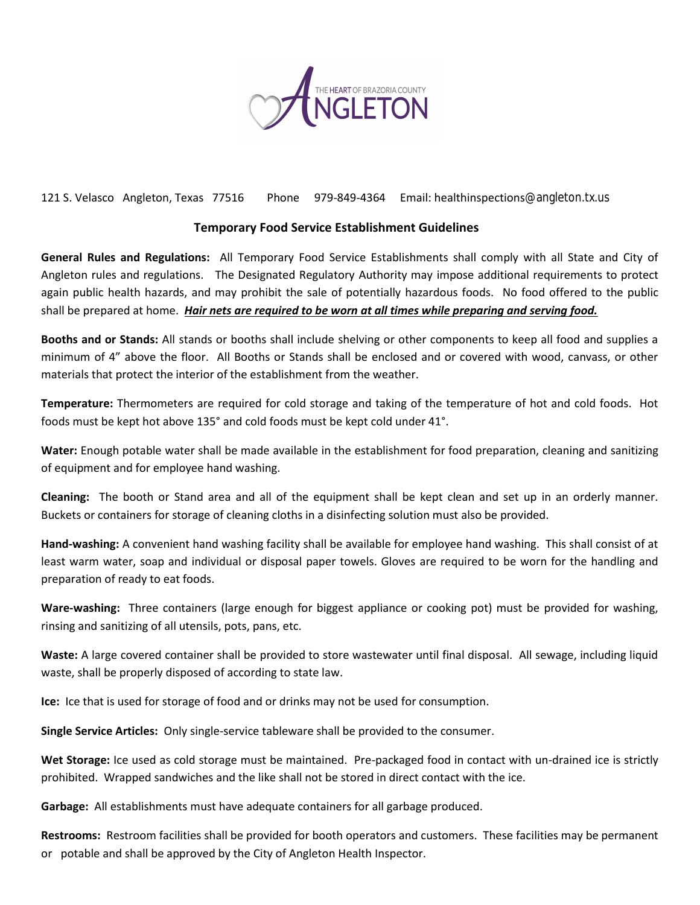

121 S. Velasco Angleton, Texas 77516 Phone 979-849-4364 Email: healthinspections [@angleton.tx.us](http://www.angleton.tx.us/)

## **Temporary Food Service Establishment Guidelines**

**General Rules and Regulations:** All Temporary Food Service Establishments shall comply with all State and City of Angleton rules and regulations. The Designated Regulatory Authority may impose additional requirements to protect again public health hazards, and may prohibit the sale of potentially hazardous foods. No food offered to the public shall be prepared at home. *Hair nets are required to be worn at all times while preparing and serving food.* 

**Booths and or Stands:** All stands or booths shall include shelving or other components to keep all food and supplies a minimum of 4" above the floor. All Booths or Stands shall be enclosed and or covered with wood, canvass, or other materials that protect the interior of the establishment from the weather.

**Temperature:** Thermometers are required for cold storage and taking of the temperature of hot and cold foods. Hot foods must be kept hot above 135° and cold foods must be kept cold under 41°.

**Water:** Enough potable water shall be made available in the establishment for food preparation, cleaning and sanitizing of equipment and for employee hand washing.

**Cleaning:** The booth or Stand area and all of the equipment shall be kept clean and set up in an orderly manner. Buckets or containers for storage of cleaning cloths in a disinfecting solution must also be provided.

**Hand-washing:** A convenient hand washing facility shall be available for employee hand washing. This shall consist of at least warm water, soap and individual or disposal paper towels. Gloves are required to be worn for the handling and preparation of ready to eat foods.

**Ware-washing:** Three containers (large enough for biggest appliance or cooking pot) must be provided for washing, rinsing and sanitizing of all utensils, pots, pans, etc.

**Waste:** A large covered container shall be provided to store wastewater until final disposal. All sewage, including liquid waste, shall be properly disposed of according to state law.

**Ice:** Ice that is used for storage of food and or drinks may not be used for consumption.

**Single Service Articles:** Only single-service tableware shall be provided to the consumer.

**Wet Storage:** Ice used as cold storage must be maintained. Pre-packaged food in contact with un-drained ice is strictly prohibited. Wrapped sandwiches and the like shall not be stored in direct contact with the ice.

**Garbage:** All establishments must have adequate containers for all garbage produced.

**Restrooms:** Restroom facilities shall be provided for booth operators and customers. These facilities may be permanent or potable and shall be approved by the City of Angleton Health Inspector.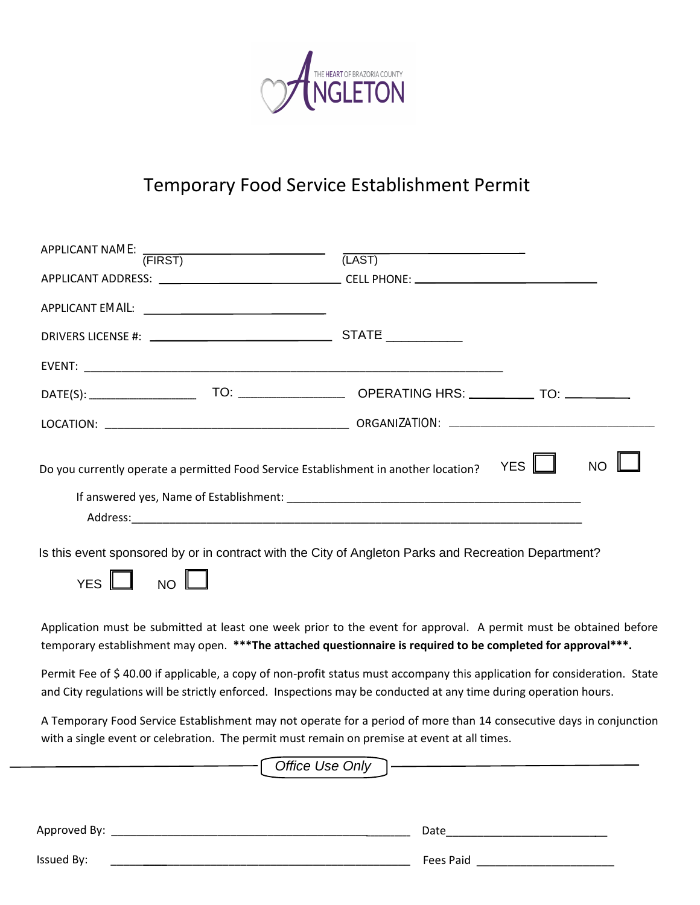

## Temporary Food Service Establishment Permit

| APPLICANT NAME: THE TREATENT TERM (FIRST) | (LAST)                                                                                                                                                                                                                                        |                         |
|-------------------------------------------|-----------------------------------------------------------------------------------------------------------------------------------------------------------------------------------------------------------------------------------------------|-------------------------|
|                                           |                                                                                                                                                                                                                                               |                         |
|                                           |                                                                                                                                                                                                                                               |                         |
|                                           |                                                                                                                                                                                                                                               |                         |
|                                           |                                                                                                                                                                                                                                               |                         |
|                                           |                                                                                                                                                                                                                                               |                         |
|                                           |                                                                                                                                                                                                                                               |                         |
| $NO$ $\Box$<br>YES                        | Do you currently operate a permitted Food Service Establishment in another location?<br>Is this event sponsored by or in contract with the City of Angleton Parks and Recreation Department?                                                  | <b>YES</b><br><b>NO</b> |
|                                           | Application must be submitted at least one week prior to the event for approval. A permit must be obtained before<br>temporary establishment may open. *** The attached questionnaire is required to be completed for approval***.            |                         |
|                                           | Permit Fee of \$40.00 if applicable, a copy of non-profit status must accompany this application for consideration. State<br>and City regulations will be strictly enforced. Inspections may be conducted at any time during operation hours. |                         |
|                                           | A Temporary Food Service Establishment may not operate for a period of more than 14 consecutive days in conjunction                                                                                                                           |                         |

with a single event or celebration. The permit must remain on premise at event at all times. Approved By: \_\_\_\_\_\_\_\_\_\_\_\_\_\_\_\_\_\_\_\_\_\_\_\_\_\_\_\_\_\_\_\_\_\_\_\_\_\_\_\_\_\_\_\_\_\_\_\_\_\_\_\_ Date\_\_\_\_\_\_\_\_\_\_\_\_\_\_\_\_\_\_\_\_\_\_\_\_\_\_ Issued By: \_\_\_\_\_\_\_\_\_ \_\_\_\_\_\_\_\_\_\_\_\_\_\_\_\_\_\_\_\_\_\_\_\_\_\_\_\_\_\_\_\_\_\_\_\_\_\_\_\_\_\_\_\_ Fees Paid \_\_\_\_\_\_\_\_\_\_\_\_\_\_\_\_\_\_\_\_\_\_ Office Use Only -